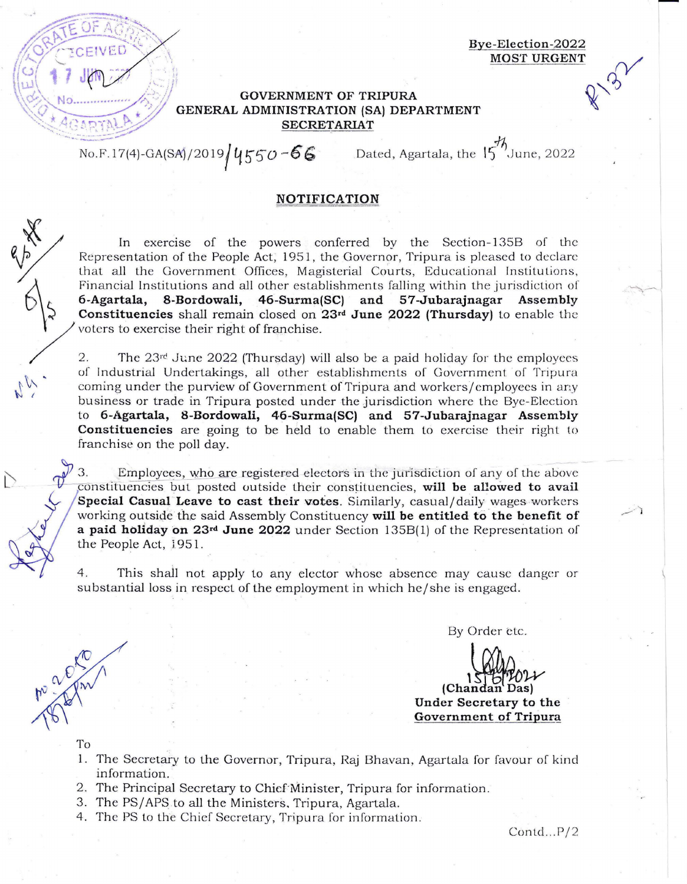**Bye-Election-2022 MOST URGENT** 

 $\mathbb{Y}$ 

## **GOVERNMENT OF TRIPURA** GENERAL ADMINISTRATION (SA) DEPARTMENT **SECRETARIAT**

No.F.17(4)-GA(SA)/2019 | 4550 - 66 Dated, Agartala, the 15<sup>71</sup> June, 2022

## **NOTIFICATION**

In exercise of the powers conferred by the Section-135B of the Representation of the People Act, 1951, the Governor, Tripura is pleased to declare that all the Government Offices, Magisterial Courts, Educational Institutions, Financial Institutions and all other establishments falling \\rithin the jurisdiction of **t 6-Agartala, 8-Bordowali, 46-Surma(SC) and 57-Jubarajnagar Assembly**  Constituencies shall remain closed on 23<sup>rd</sup> June 2022 (Thursday) to enable the voters to exercise their right of franchise.

2. The  $23<sup>rd</sup>$  June 2022 (Thursday) will also be a paid holiday for the employees of Industrial Undertakings, all other establishments of Government of Tripura coming under the purview of Government of Tripura and workers/ employees in any business or trade in Tripura posted under the jurisdiction where the Bye-Election to **6-Agartala, 8-Bordowali, 46-Surma(SC) and 57-Jubarajnagar Assembly Constituencies** are going to be held to enable them to exercise their right to franchise on the poll day.

3. Employees, who are registered electors in the jurisdiction of any of the above constituencies but posted outside their constituencies, will be allowed to avail Special Casual Leave to cast their votes. Similarly, casual/daily wages workers working outside the said Assembly Constituency will be entitled to the benefit of **a paid holiday on 23rd June 2022** under Section 1358( 1) of *the* Representation of the People Act, 1951.

4. This shall not apply to any elector whose absence may cause danger or substantial loss in respect of the employment in which he/she is engaged.

By Order etc.

**Under Secretary to the**  (Chandan Das) **Government of Tripura** 

To

Mack

- **1.** The Secretary to the Governor, Tripura, Raj 8havan, Agartala for favour of kind information. '
- 2. The Principal Secretary to Chief Minister, Tripura for information.
- 3. The PS/ APS to *all* the Ministers, Tripura, Agartala.
- 4. The PS to the Chief Secretary, Tripura for information.

 $Contd...P/2$